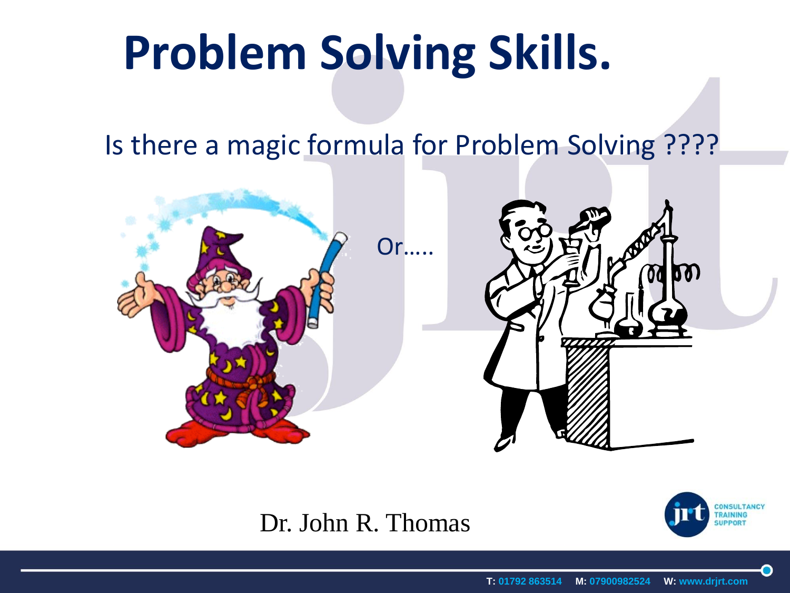# **Problem Solving Skills.**

#### Is there a magic formula for Problem Solving ????



#### Dr. John R. Thomas

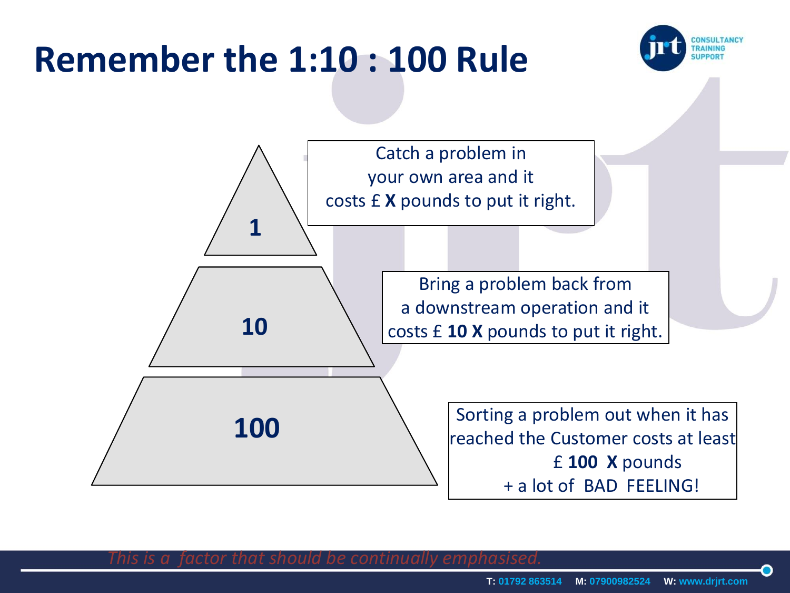## **Remember the 1:10 : 100 Rule**





*This is a factor that should be continually emphasised.*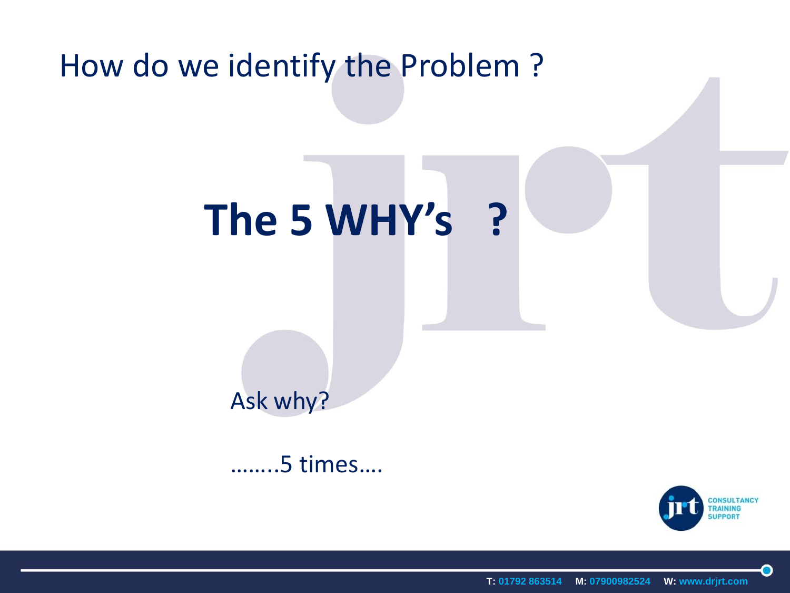#### How do we identify the Problem ?

## **The 5 WHY's ?**

### Ask why?

……..5 times….



O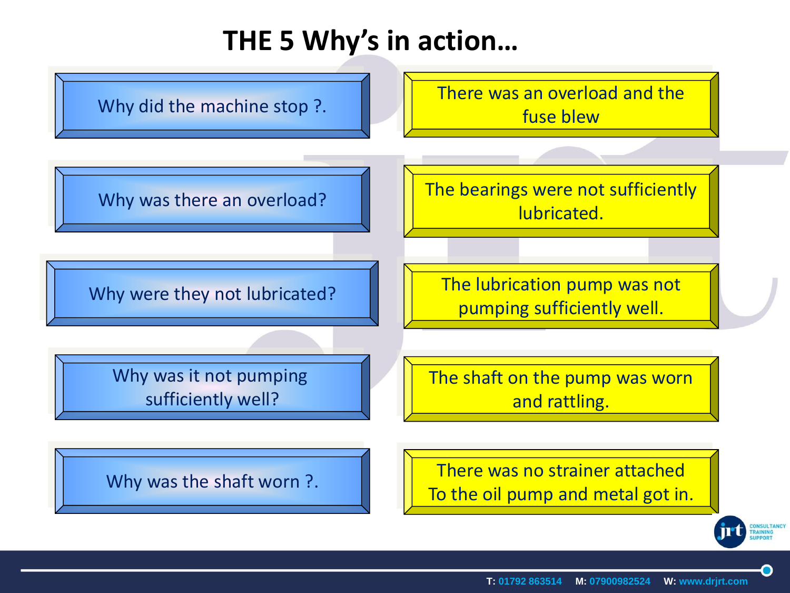#### **THE 5 Why's in action…**

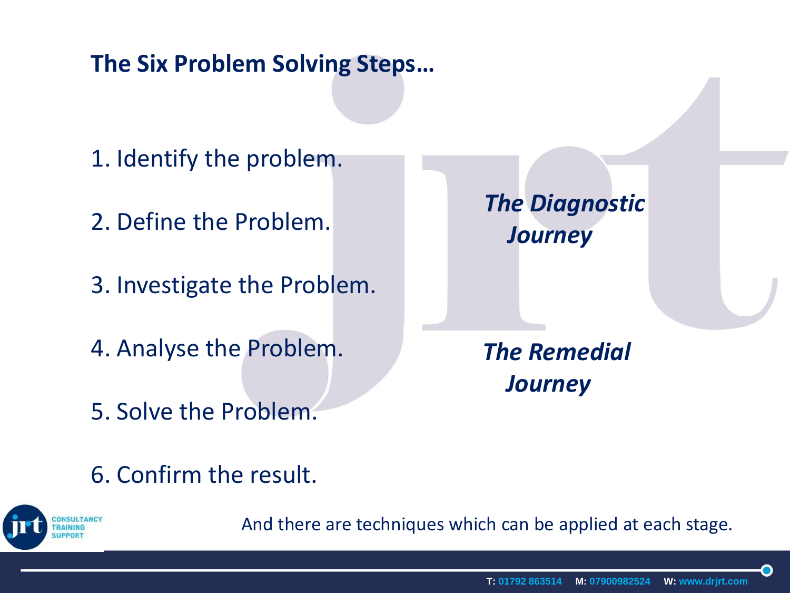#### **The Six Problem Solving Steps…**

- 1. Identify the problem.
- 2. Define the Problem.
- 3. Investigate the Problem.
- 4. Analyse the Problem.
- 5. Solve the Problem.

*The Diagnostic Journey*

*The Remedial Journey*

6. Confirm the result.



And there are techniques which can be applied at each stage.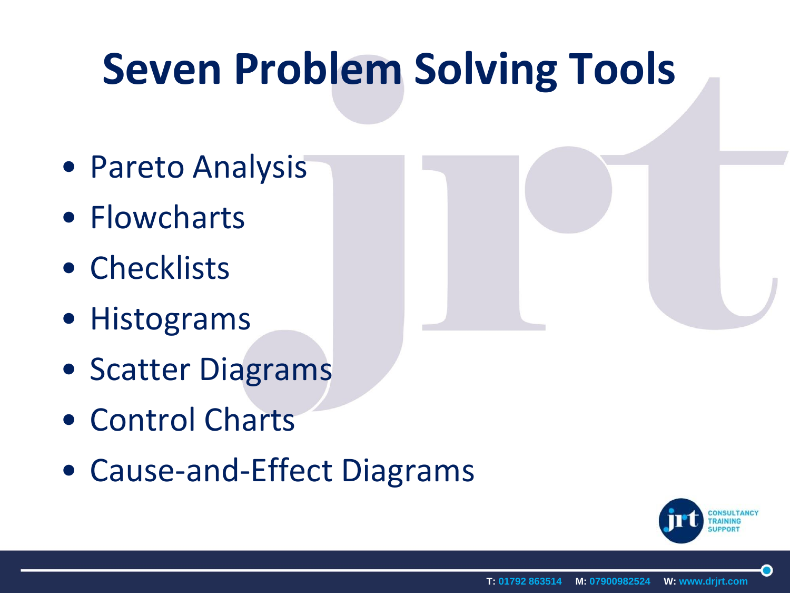## **Seven Problem Solving Tools**

- Pareto Analysis
- Flowcharts
- Checklists
- Histograms
- Scatter Diagrams
- Control Charts
- Cause-and-Effect Diagrams

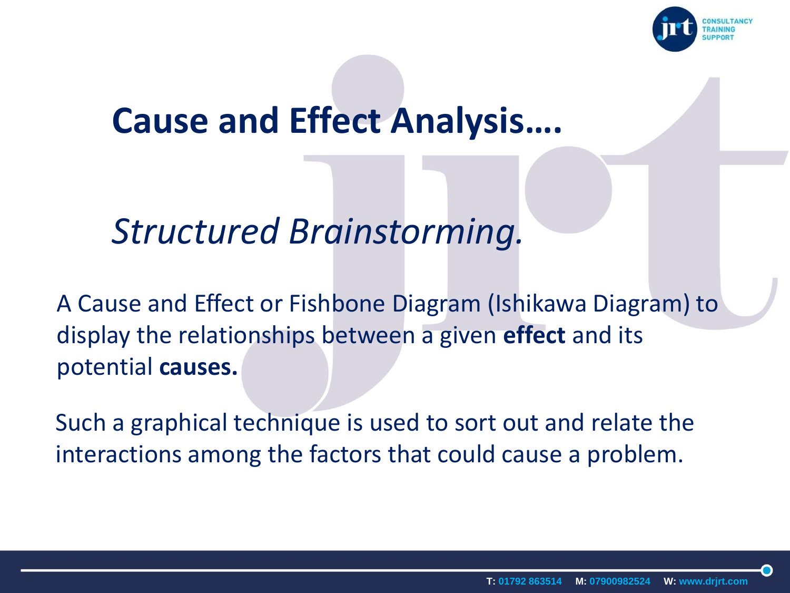

### **Cause and Effect Analysis….**

#### *Structured Brainstorming.*

A Cause and Effect or Fishbone Diagram (Ishikawa Diagram) to display the relationships between a given **effect** and its potential **causes.**

Such a graphical technique is used to sort out and relate the interactions among the factors that could cause a problem.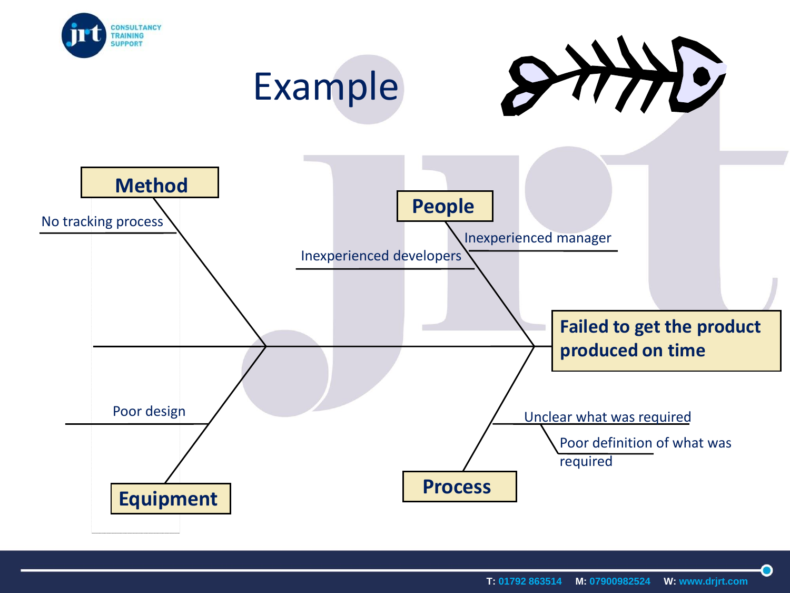

**T: 01792 863514 M: 07900982524 W: www.drjrt.com**

 $\bullet$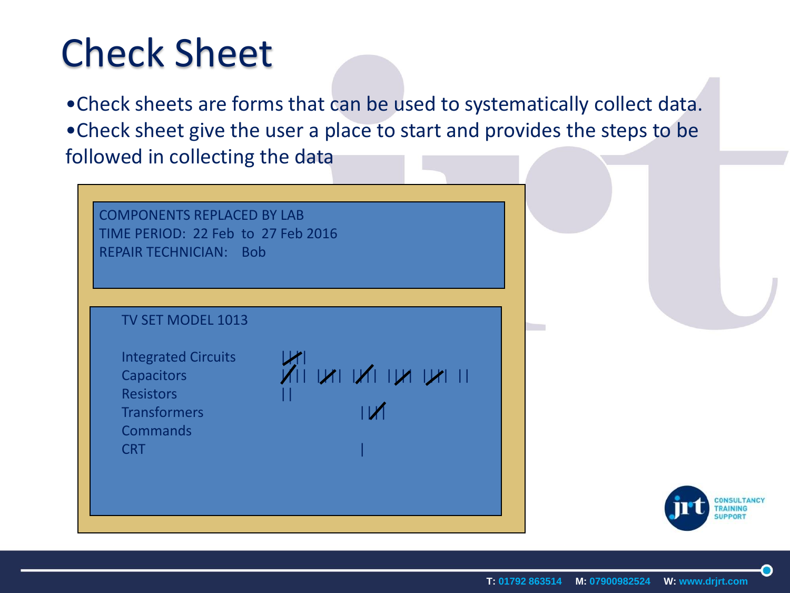## Check Sheet

•Check sheets are forms that can be used to systematically collect data. •Check sheet give the user a place to start and provides the steps to be followed in collecting the data

COMPONENTS REPLACED BY LAB TIME PERIOD: 22 Feb to 27 Feb 2016 REPAIR TECHNICIAN: Bob

#### TV SET MODEL 1013

Integrated Circuits |||| Resistors **Transformers Commands** CRT |

Capacitors |||| |||| |||| |||| |||| ||

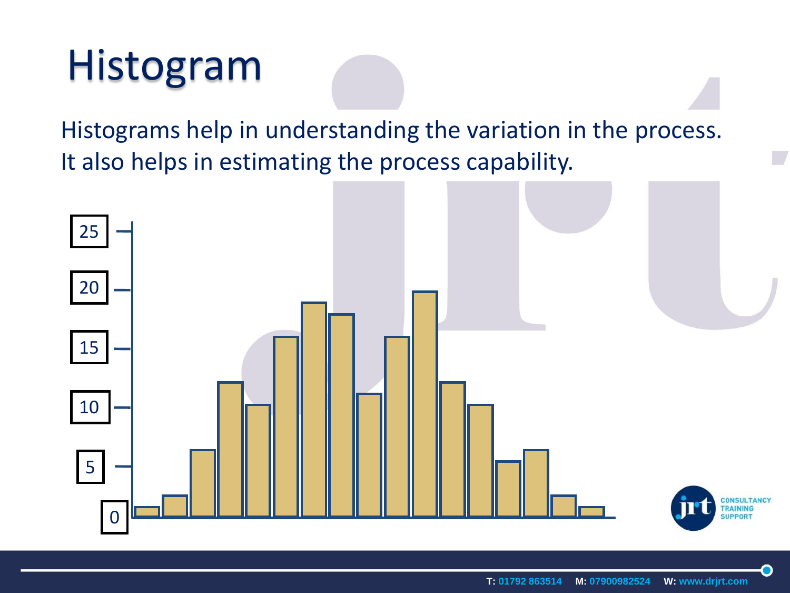## Histogram

Histograms help in understanding the variation in the process. It also helps in estimating the process capability.



 $\mathbb{Z}$ 

O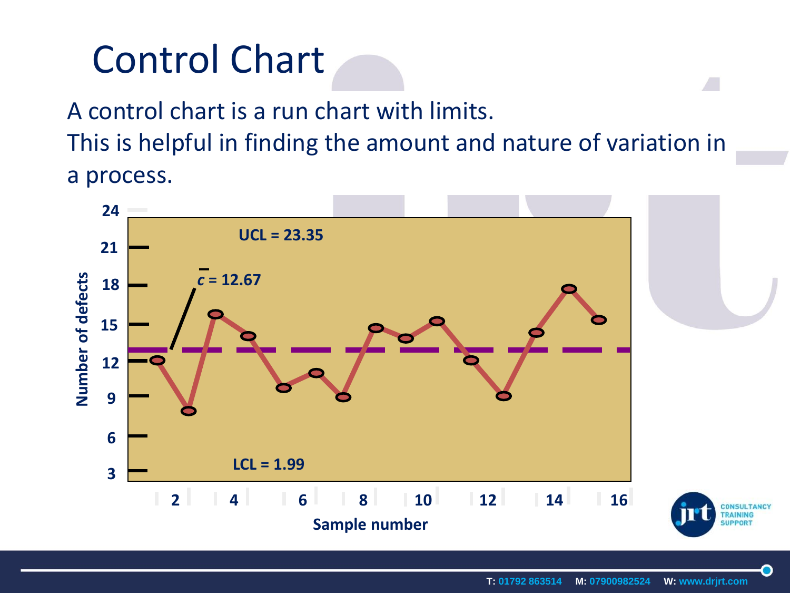## Control Chart

A control chart is a run chart with limits. This is helpful in finding the amount and nature of variation in a process.

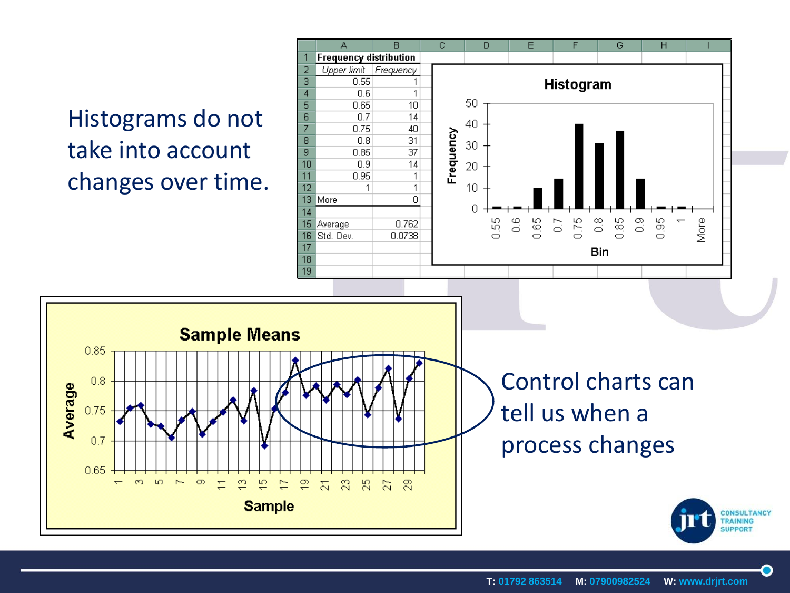#### Histograms do not take into account changes over time.

0.85

 $0.8$ 

0.75

 $0.7$ 

0.65

 $\infty$ 

 $\overline{\phantom{0}}$ 

Average



**SUPPORT** 

O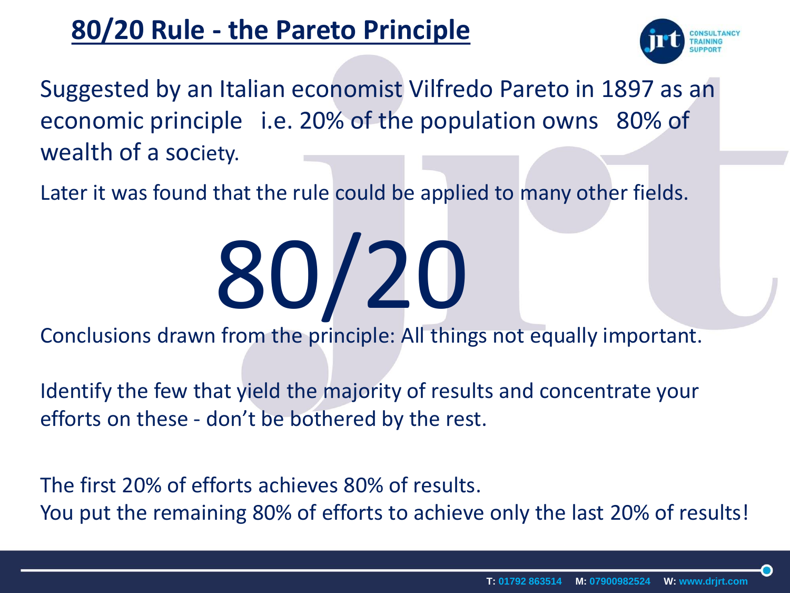#### **80/20 Rule - the Pareto Principle**



Suggested by an Italian economist Vilfredo Pareto in 1897 as an economic principle i.e. 20% of the population owns 80% of wealth of a society.

Later it was found that the rule could be applied to many other fields.

# 80/20

Conclusions drawn from the principle: All things not equally important.

Identify the few that yield the majority of results and concentrate your efforts on these - don't be bothered by the rest.

The first 20% of efforts achieves 80% of results. You put the remaining 80% of efforts to achieve only the last 20% of results!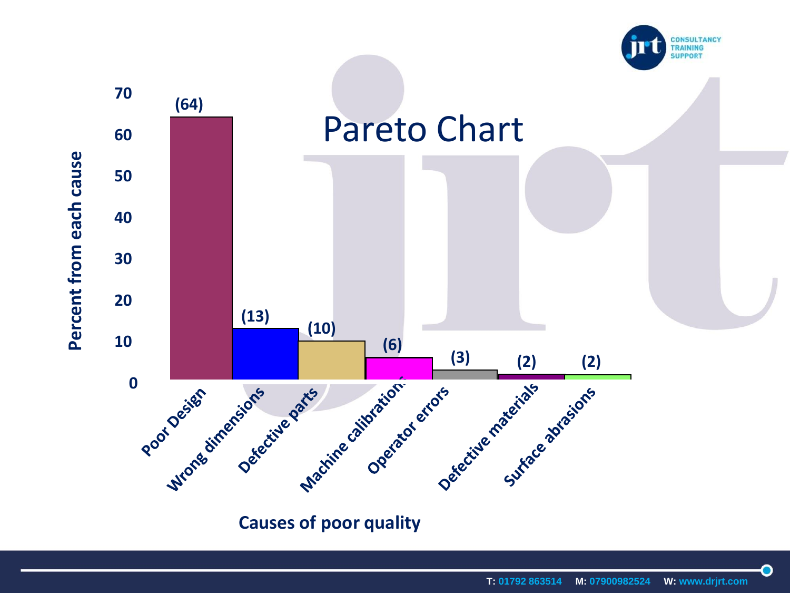



 $\bullet$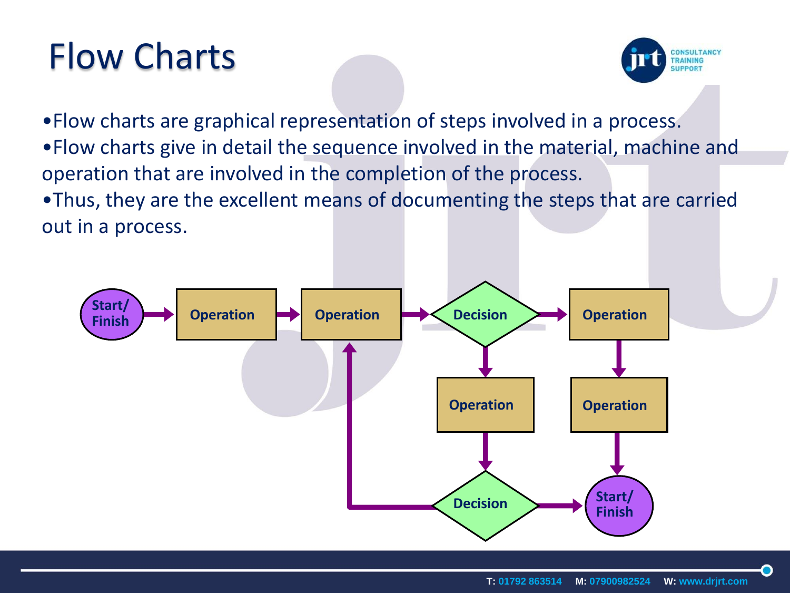## Flow Charts



•Flow charts are graphical representation of steps involved in a process. •Flow charts give in detail the sequence involved in the material, machine and operation that are involved in the completion of the process.

•Thus, they are the excellent means of documenting the steps that are carried out in a process.